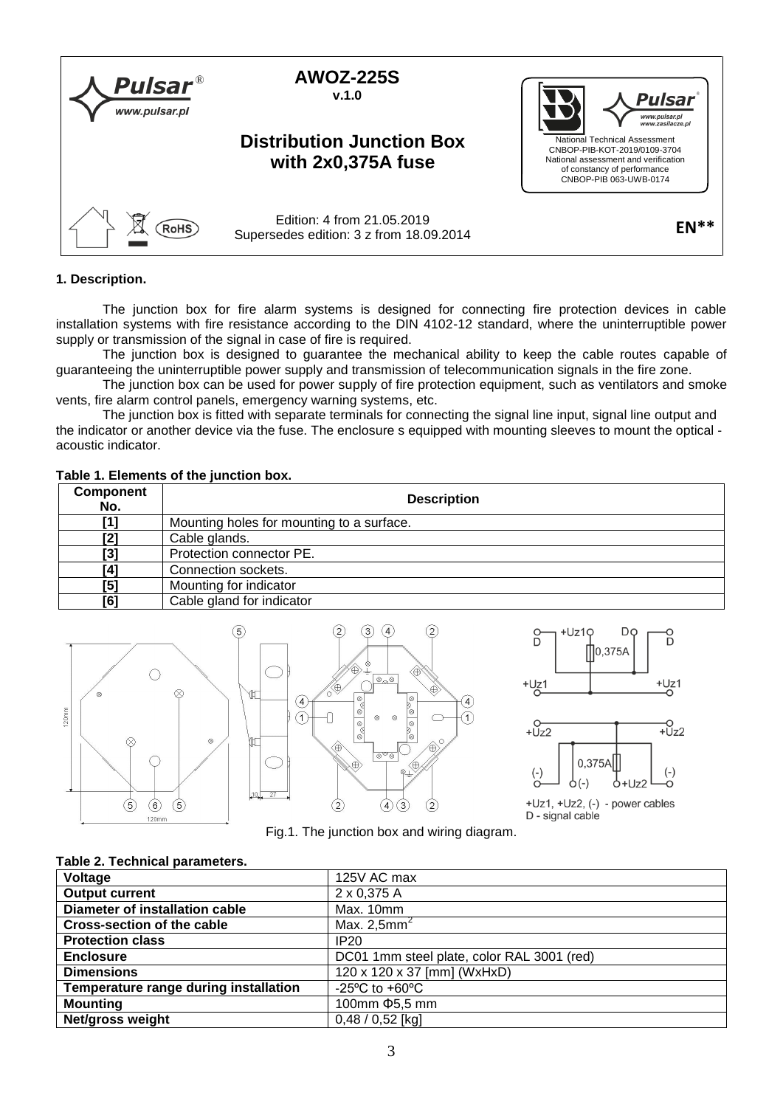

# **1. Description.**

The junction box for fire alarm systems is designed for connecting fire protection devices in cable installation systems with fire resistance according to the DIN 4102-12 standard, where the uninterruptible power supply or transmission of the signal in case of fire is required.

The junction box is designed to guarantee the mechanical ability to keep the cable routes capable of guaranteeing the uninterruptible power supply and transmission of telecommunication signals in the fire zone.

The junction box can be used for power supply of fire protection equipment, such as ventilators and smoke vents, fire alarm control panels, emergency warning systems, etc.

The junction box is fitted with separate terminals for connecting the signal line input, signal line output and the indicator or another device via the fuse. The enclosure s equipped with mounting sleeves to mount the optical acoustic indicator.

#### **Table 1. Elements of the junction box.**

| <b>Component</b><br>No. | <b>Description</b>                        |
|-------------------------|-------------------------------------------|
| ้11                     | Mounting holes for mounting to a surface. |
| [2]                     | Cable glands.                             |
| [3]                     | Protection connector PE.                  |
| [4]                     | Connection sockets.                       |
| [5]                     | Mounting for indicator                    |
| [6]                     | Cable gland for indicator                 |





+Uz1, +Uz2, (-) - power cables D - signal cable

Fig.1. The junction box and wiring diagram.

## **Table 2. Technical parameters.**

| Voltage                               | 125V AC max                                          |
|---------------------------------------|------------------------------------------------------|
| <b>Output current</b>                 | 2 x 0,375 A                                          |
| <b>Diameter of installation cable</b> | Max. 10mm                                            |
| <b>Cross-section of the cable</b>     | Max. $2,5$ mm <sup>2</sup>                           |
| <b>Protection class</b>               | IP20                                                 |
| <b>Enclosure</b>                      | DC01 1mm steel plate, color RAL 3001 (red)           |
| <b>Dimensions</b>                     | 120 x 120 x 37 [mm] (WxHxD)                          |
| Temperature range during installation | -25 $\mathrm{^{\circ}C}$ to +60 $\mathrm{^{\circ}C}$ |
| <b>Mounting</b>                       | 100mm $\Phi$ 5,5 mm                                  |
| Net/gross weight                      | $0,48/0,52$ [kg]                                     |